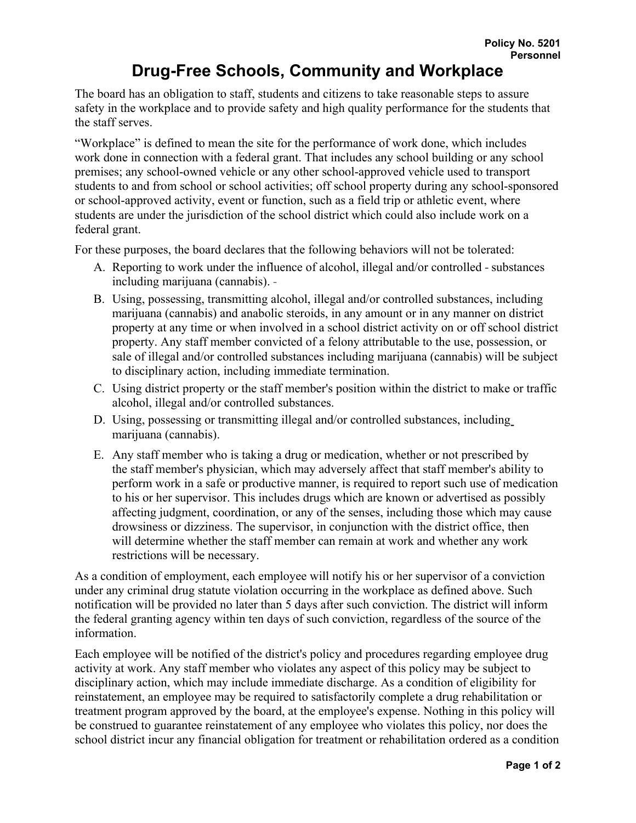## **Drug-Free Schools, Community and Workplace**

The board has an obligation to staff, students and citizens to take reasonable steps to assure safety in the workplace and to provide safety and high quality performance for the students that the staff serves.

"Workplace" is defined to mean the site for the performance of work done, which includes work done in connection with a federal grant. That includes any school building or any school premises; any school-owned vehicle or any other school-approved vehicle used to transport students to and from school or school activities; off school property during any school-sponsored or school-approved activity, event or function, such as a field trip or athletic event, where students are under the jurisdiction of the school district which could also include work on a federal grant.

For these purposes, the board declares that the following behaviors will not be tolerated:

- A. Reporting to work under the influence of alcohol, illegal and/or controlled substances including marijuana (cannabis).
- B. Using, possessing, transmitting alcohol, illegal and/or controlled substances, including marijuana (cannabis) and anabolic steroids, in any amount or in any manner on district property at any time or when involved in a school district activity on or off school district property. Any staff member convicted of a felony attributable to the use, possession, or sale of illegal and/or controlled substances including marijuana (cannabis) will be subject to disciplinary action, including immediate termination.
- C. Using district property or the staff member's position within the district to make or traffic alcohol, illegal and/or controlled substances.
- D. Using, possessing or transmitting illegal and/or controlled substances, including marijuana (cannabis).
- E. Any staff member who is taking a drug or medication, whether or not prescribed by the staff member's physician, which may adversely affect that staff member's ability to perform work in a safe or productive manner, is required to report such use of medication to his or her supervisor. This includes drugs which are known or advertised as possibly affecting judgment, coordination, or any of the senses, including those which may cause drowsiness or dizziness. The supervisor, in conjunction with the district office, then will determine whether the staff member can remain at work and whether any work restrictions will be necessary.

As a condition of employment, each employee will notify his or her supervisor of a conviction under any criminal drug statute violation occurring in the workplace as defined above. Such notification will be provided no later than 5 days after such conviction. The district will inform the federal granting agency within ten days of such conviction, regardless of the source of the information.

Each employee will be notified of the district's policy and procedures regarding employee drug activity at work. Any staff member who violates any aspect of this policy may be subject to disciplinary action, which may include immediate discharge. As a condition of eligibility for reinstatement, an employee may be required to satisfactorily complete a drug rehabilitation or treatment program approved by the board, at the employee's expense. Nothing in this policy will be construed to guarantee reinstatement of any employee who violates this policy, nor does the school district incur any financial obligation for treatment or rehabilitation ordered as a condition